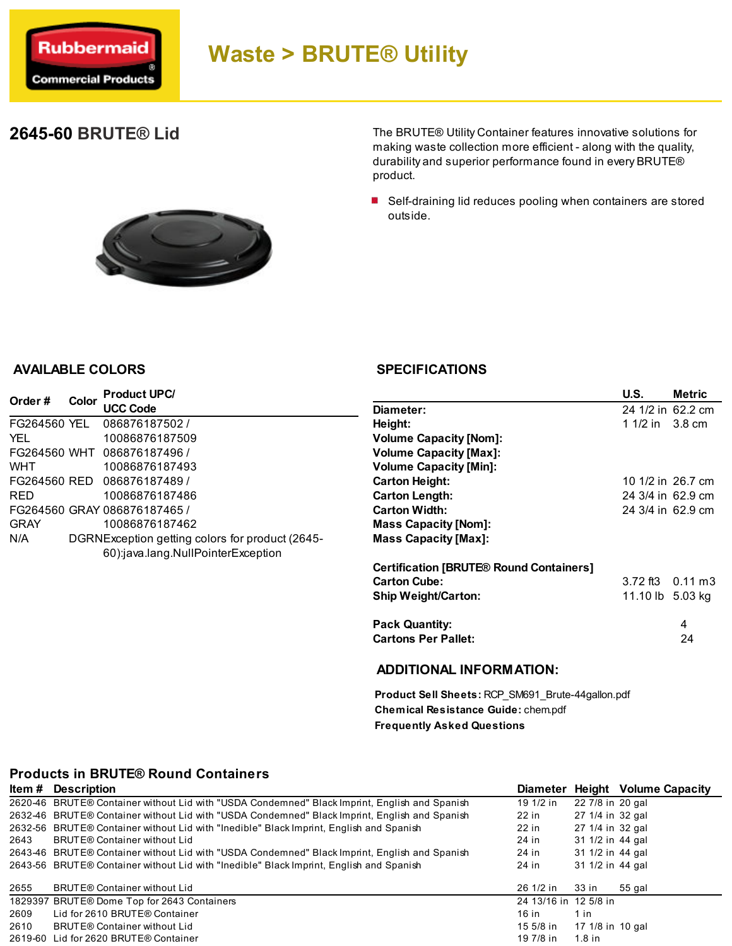

# Waste > BRUTE® Utility

## 2645-60 BRUTE® Lid

The BRUTE® Utility Container features innovative solutions for making waste collection more efficient - along with the quality, durability and superior performance found in every BRUTE® product.

■ Self-draining lid reduces pooling when containers are stored outside.



#### AVAILABLE COLORS

| Order#       | Color | <b>Product UPC/</b>                             |                                    |
|--------------|-------|-------------------------------------------------|------------------------------------|
|              |       | <b>UCC Code</b>                                 | Diameter:                          |
| FG264560 YEL |       | 086876187502 /                                  | Height:                            |
| YFI          |       | 10086876187509                                  | <b>Volume Capacity [Nom]:</b>      |
| FG264560 WHT |       | 086876187496 /                                  | <b>Volume Capacity [Max]:</b>      |
| <b>WHT</b>   |       | 10086876187493                                  | <b>Volume Capacity [Min]:</b>      |
| FG264560 RED |       | 086876187489 /                                  | <b>Carton Height:</b>              |
| <b>RFD</b>   |       | 10086876187486                                  | <b>Carton Length:</b>              |
|              |       | FG264560 GRAY 086876187465 /                    | <b>Carton Width:</b>               |
| <b>GRAY</b>  |       | 10086876187462                                  | <b>Mass Capacity [Nom]:</b>        |
| N/A          |       | DGRNException getting colors for product (2645- | <b>Mass Capacity [Max]:</b>        |
|              |       | 60):java.lang.NullPointerException              |                                    |
|              |       |                                                 | <b>Certification IBRUTE® Round</b> |

#### **SPECIFICATIONS**

|                                                | U.S.                     | <b>Metric</b> |
|------------------------------------------------|--------------------------|---------------|
| Diameter:                                      | 24 1/2 in 62.2 cm        |               |
| Height:                                        | 1 1/2 in 3.8 cm          |               |
| <b>Volume Capacity [Nom]:</b>                  |                          |               |
| <b>Volume Capacity [Max]:</b>                  |                          |               |
| <b>Volume Capacity [Min]:</b>                  |                          |               |
| <b>Carton Height:</b>                          | 10 1/2 in 26.7 cm        |               |
| <b>Carton Length:</b>                          | 24 3/4 in 62.9 cm        |               |
| <b>Carton Width:</b>                           | 24 3/4 in 62.9 cm        |               |
| <b>Mass Capacity [Nom]:</b>                    |                          |               |
| <b>Mass Capacity [Max]:</b>                    |                          |               |
| <b>Certification [BRUTE® Round Containers]</b> |                          |               |
| <b>Carton Cube:</b>                            | $3.72$ ft $3$ 0.11 m $3$ |               |
| <b>Ship Weight/Carton:</b>                     | 11.10 lb 5.03 kg         |               |
| <b>Pack Quantity:</b>                          |                          | 4             |
| <b>Cartons Per Pallet:</b>                     |                          | 24            |
|                                                |                          |               |

#### ADDITIONAL INFORMATION:

Product Sell Sheets: RCP\_SM691\_Brute-44gallon.pdf Chemical Resistance Guide: chem.pdf Frequently Asked Questions

#### Products in BRUTE® Round Containers

| ltem # | <b>Description</b>                                                                            |                       | Diameter Height Volume Capacity |
|--------|-----------------------------------------------------------------------------------------------|-----------------------|---------------------------------|
|        | 2620-46 BRUTE® Container without Lid with "USDA Condemned" Black Imprint, English and Spanish | 19 1/2 in             | 22 7/8 in 20 gal                |
|        | 2632-46 BRUTE® Container without Lid with "USDA Condemned" Black Imprint, English and Spanish | 22 in                 | 27 1/4 in 32 gal                |
|        | 2632-56 BRUTE® Container without Lid with "Inedible" Black Imprint, English and Spanish       | 22 in                 | 27 1/4 in 32 gal                |
| 2643   | BRUTE® Container without Lid                                                                  | 24 in                 | 31 1/2 in 44 gal                |
|        | 2643-46 BRUTE® Container without Lid with "USDA Condemned" Black Imprint, English and Spanish | 24 in                 | 31 1/2 in 44 gal                |
|        | 2643-56 BRUTE® Container without Lid with "Inedible" Black Imprint, English and Spanish       | 24 in                 | 31 1/2 in 44 gal                |
| 2655   | <b>BRUTE® Container without Lid</b>                                                           | 26 1/2 in             | 33 in<br>55 gal                 |
|        | 1829397 BRUTE® Dome Top for 2643 Containers                                                   | 24 13/16 in 12 5/8 in |                                 |
| 2609   | Lid for 2610 BRUTE® Container                                                                 | 16 in                 | 1 in                            |
| 2610   | BRUTE® Container without Lid                                                                  | 15 5/8 in             | 17 1/8 in 10 gal                |
|        | 2619-60 Lid for 2620 BRUTE® Container                                                         | 19 7/8 in             | $1.8$ in                        |